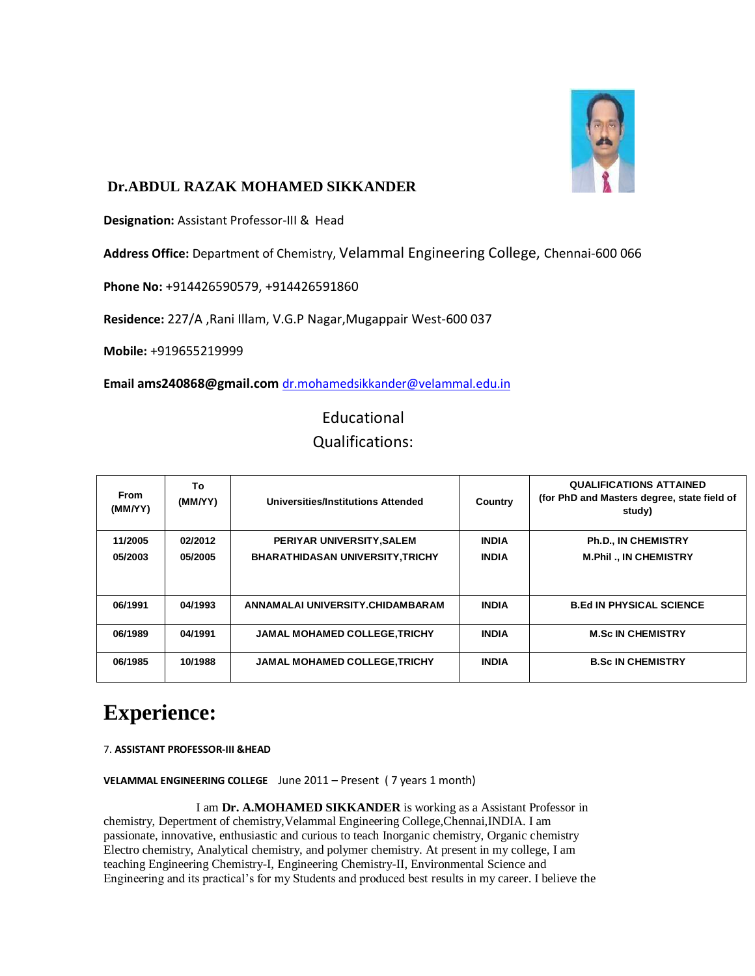

## **Dr.ABDUL RAZAK MOHAMED SIKKANDER**

**Designation:** Assistant Professor-III & Head

**Address Office:** Department of Chemistry, Velammal Engineering College, Chennai-600 066

**Phone No:** +914426590579, +914426591860

**Residence:** 227/A ,Rani Illam, V.G.P Nagar,Mugappair West-600 037

**Mobile:** +919655219999

**Email [ams240868@gmail.com](mailto:ams240868@gmail.com)** [dr.mohamedsikkander@velammal.edu.in](mailto:ams240868@gmail.com)

Educational Qualifications:

| <b>From</b><br>(MM/YY) | To<br>(MM/YY) | <b>Universities/Institutions Attended</b> | Country      | <b>QUALIFICATIONS ATTAINED</b><br>(for PhD and Masters degree, state field of<br>study) |
|------------------------|---------------|-------------------------------------------|--------------|-----------------------------------------------------------------------------------------|
| 11/2005                | 02/2012       | PERIYAR UNIVERSITY, SALEM                 | <b>INDIA</b> | <b>Ph.D., IN CHEMISTRY</b>                                                              |
| 05/2003                | 05/2005       | <b>BHARATHIDASAN UNIVERSITY, TRICHY</b>   | <b>INDIA</b> | <b>M.Phil., IN CHEMISTRY</b>                                                            |
|                        |               |                                           |              |                                                                                         |
| 06/1991                | 04/1993       | ANNAMALAI UNIVERSITY.CHIDAMBARAM          | <b>INDIA</b> | <b>B.Ed IN PHYSICAL SCIENCE</b>                                                         |
| 06/1989                | 04/1991       | <b>JAMAL MOHAMED COLLEGE, TRICHY</b>      | <b>INDIA</b> | <b>M.Sc IN CHEMISTRY</b>                                                                |
| 06/1985                | 10/1988       | <b>JAMAL MOHAMED COLLEGE, TRICHY</b>      | <b>INDIA</b> | <b>B.Sc IN CHEMISTRY</b>                                                                |

# **Experience:**

7. **[ASSISTANT PROFESSOR-III](https://www.linkedin.com/search?search&amp%3Btitle=ASSISTANT%2BPROFESSOR-III&amp%3BsortCriteria=R&amp%3BkeepFacets=true&amp%3BcurrentTitle=CP&amp%3Btrk=prof-exp-title) &HEAD**

**[VELAMMAL ENGINEERING COLLEGE](https://www.linkedin.com/search?search&amp%3Bcompany=VELAMMAL%2BENGINEERING%2BCOLLEGE&amp%3BsortCriteria=R&amp%3BkeepFacets=true&amp%3Btrk=prof-exp-company-name)** June 2011 – Present ( 7 years 1 month)

I am **Dr. A.MOHAMED SIKKANDER** is working as a Assistant Professor in chemistry, Depertment of chemistry,Velammal Engineering College,Chennai,INDIA. I am passionate, innovative, enthusiastic and curious to teach Inorganic chemistry, Organic chemistry Electro chemistry, Analytical chemistry, and polymer chemistry. At present in my college, I am teaching Engineering Chemistry-I, Engineering Chemistry-II, Environmental Science and Engineering and its practical's for my Students and produced best results in my career. I believe the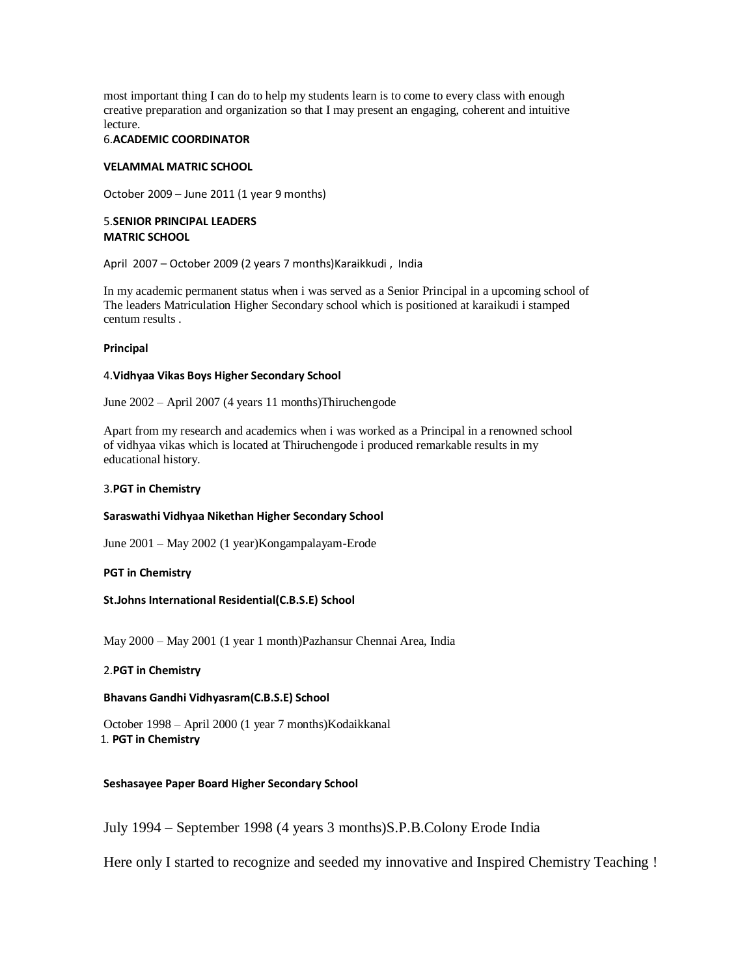most important thing I can do to help my students learn is to come to every class with enough creative preparation and organization so that I may present an engaging, coherent and intuitive lecture.

#### 6.**[ACADEMIC COORDINATOR](https://www.linkedin.com/search?search&amp%3Btitle=ACADEMIC%2BCOORDINATOR&amp%3BsortCriteria=R&amp%3BkeepFacets=true&amp%3BcurrentTitle=CP&amp%3Btrk=prof-exp-title)**

#### **[VELAMMAL MATRIC SCHOOL](https://www.linkedin.com/search?search&amp%3Bcompany=VELAMMAL%2BMATRIC%2BSCHOOL&amp%3BsortCriteria=R&amp%3BkeepFacets=true&amp%3Btrk=prof-exp-company-name)**

October 2009 – June 2011 (1 year 9 months)

#### 5.**[SENIOR PRINCIPAL](https://www.linkedin.com/search?search&amp%3Btitle=SENIOR%2BPRINCIPAL&amp%3BsortCriteria=R&amp%3BkeepFacets=true&amp%3BcurrentTitle=CP&amp%3Btrk=prof-exp-title) [LEADERS](https://www.linkedin.com/search?search&amp%3Bcompany=LEADERS%2BMATRIC%2BSCHOOL&amp%3BsortCriteria=R&amp%3BkeepFacets=true&amp%3Btrk=prof-exp-company-name)  [MATRIC SCHOOL](https://www.linkedin.com/search?search&amp%3Bcompany=LEADERS%2BMATRIC%2BSCHOOL&amp%3BsortCriteria=R&amp%3BkeepFacets=true&amp%3Btrk=prof-exp-company-name)**

April 2007 – October 2009 (2 years 7 months)Karaikkudi , India

In my academic permanent status when i was served as a Senior Principal in a upcoming school of The leaders Matriculation Higher Secondary school which is positioned at karaikudi i stamped centum results .

#### **[Principal](https://www.linkedin.com/search?search&amp%3Btitle=Principal&amp%3BsortCriteria=R&amp%3BkeepFacets=true&amp%3BcurrentTitle=CP&amp%3Btrk=prof-exp-title)**

#### 4.**[Vidhyaa Vikas Boys Higher Secondary School](https://www.linkedin.com/search?search&amp%3Bcompany=Vidhyaa%2BVikas%2BBoys%2BHigher%2BSecondary%2BSchool&amp%3BsortCriteria=R&amp%3BkeepFacets=true&amp%3Btrk=prof-exp-company-name)**

June 2002 – April 2007 (4 years 11 months)Thiruchengode

Apart from my research and academics when i was worked as a Principal in a renowned school of vidhyaa vikas which is located at Thiruchengode i produced remarkable results in my educational history.

#### 3.**[PGT in Chemistry](https://www.linkedin.com/search?search&amp%3Btitle=PGT%2Bin%2BChemistry&amp%3BsortCriteria=R&amp%3BkeepFacets=true&amp%3BcurrentTitle=CP&amp%3Btrk=prof-exp-title)**

#### **[Saraswathi Vidhyaa Nikethan Higher Secondary School](https://www.linkedin.com/search?search&amp%3Bcompany=Saraswathi%2BVidhyaa%2BNikethan%2BHigher%2BSecondary%2BSchool&amp%3BsortCriteria=R&amp%3BkeepFacets=true&amp%3Btrk=prof-exp-company-name)**

June 2001 – May 2002 (1 year)Kongampalayam-Erode

#### **[PGT in Chemistry](https://www.linkedin.com/search?search&amp%3Btitle=PGT%2Bin%2BChemistry&amp%3BsortCriteria=R&amp%3BkeepFacets=true&amp%3BcurrentTitle=CP&amp%3Btrk=prof-exp-title)**

#### **[St.Johns International Residential\(C.B.S.E\) School](https://www.linkedin.com/search?search&amp%3Bcompany=St%2EJohns%2BInternational%2BResidential%28C%2EB%2ES%2EE%29%2BSchool&amp%3BsortCriteria=R&amp%3BkeepFacets=true&amp%3Btrk=prof-exp-company-name)**

May 2000 – May 2001 (1 year 1 month)Pazhansur Chennai Area, India

#### 2.**[PGT in Chemistry](https://www.linkedin.com/search?search&amp%3Btitle=PGT%2Bin%2BChemistry&amp%3BsortCriteria=R&amp%3BkeepFacets=true&amp%3BcurrentTitle=CP&amp%3Btrk=prof-exp-title)**

#### **[Bhavans Gandhi Vidhyasram\(C.B.S.E\) School](https://www.linkedin.com/search?search&amp%3Bcompany=Bhavans%2BGandhi%2BVidhyasram%28C%2EB%2ES%2EE%29%2BSchool&amp%3BsortCriteria=R&amp%3BkeepFacets=true&amp%3Btrk=prof-exp-company-name)**

October 1998 – April 2000 (1 year 7 months)Kodaikkanal 1. **PGT in Chemistry**

#### **[Seshasayee Paper Board Higher Secondary School](https://www.linkedin.com/search?search&amp%3Bcompany=Seshasayee%2BPaper%2BBoard%2BHigher%2BSecondary%2BSchool&amp%3BsortCriteria=R&amp%3BkeepFacets=true&amp%3Btrk=prof-exp-company-name)**

July 1994 – September 1998 (4 years 3 months)S.P.B.Colony Erode India

Here only I started to recognize and seeded my innovative and Inspired Chemistry Teaching !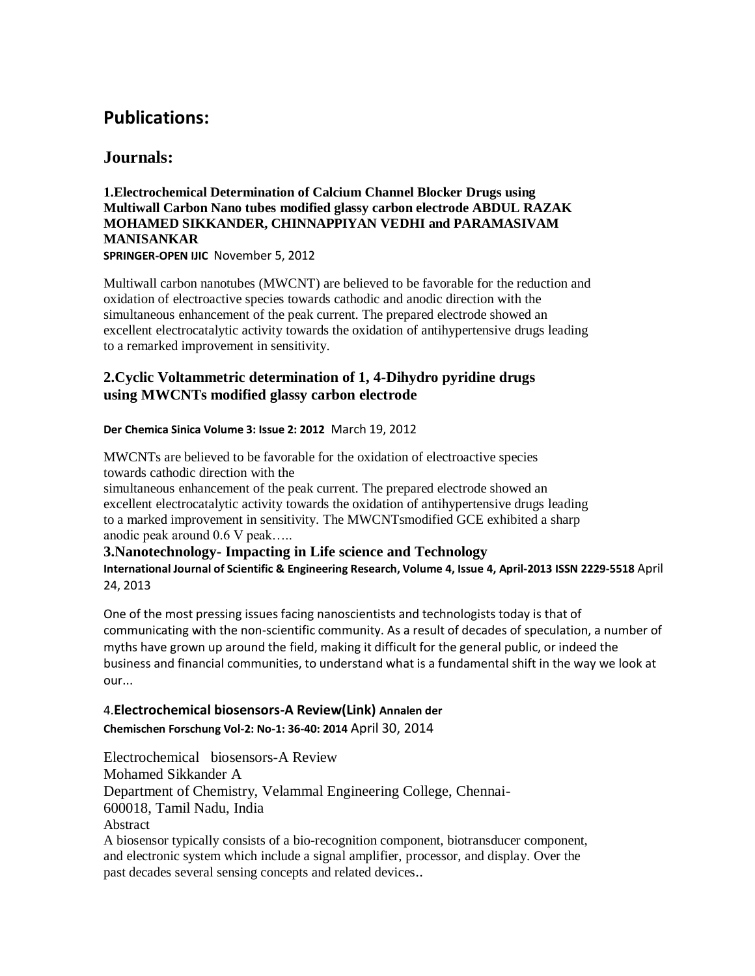## **Publications:**

## **Journals:**

**1.Electrochemical Determination of Calcium Channel Blocker Drugs using Multiwall Carbon Nano tubes modified glassy carbon electrode ABDUL RAZAK MOHAMED SIKKANDER, CHINNAPPIYAN VEDHI and PARAMASIVAM MANISANKAR**

**SPRINGER-OPEN IJIC** November 5, 2012

Multiwall carbon nanotubes (MWCNT) are believed to be favorable for the reduction and oxidation of electroactive species towards cathodic and anodic direction with the simultaneous enhancement of the peak current. The prepared electrode showed an excellent electrocatalytic activity towards the oxidation of antihypertensive drugs leading to a remarked improvement in sensitivity.

## **2.Cyclic Voltammetric determination of 1, 4-Dihydro pyridine drugs using MWCNTs modified glassy carbon electrode**

### **Der Chemica Sinica Volume 3: Issue 2: 2012** March 19, 2012

MWCNTs are believed to be favorable for the oxidation of electroactive species towards cathodic direction with the

simultaneous enhancement of the peak current. The prepared electrode showed an excellent electrocatalytic activity towards the oxidation of antihypertensive drugs leading to a marked improvement in sensitivity. The MWCNTsmodified GCE exhibited a sharp anodic peak around 0.6 V peak…..

### **3.Nanotechnology- Impacting in Life science and Technology**

**International Journal of Scientific & Engineering Research, Volume 4, Issue 4, April-2013 ISSN 2229-5518** April 24, 2013

One of the most pressing issues facing nanoscientists and technologists today is that of communicating with the non-scientific community. As a result of decades of speculation, a number of myths have grown up around the field, making it difficult for the general public, or indeed the business and financial communities, to understand what is a fundamental shift in the way we look at our...

## 4.**[Electrochemical biosensors-A Review\(Link\)](https://www.linkedin.com/redir/redirect?url=http%3A%2F%2Fwww%2Eaocsr%2Ecom&amp%3Burlhash=1mpm&amp%3Btrk=prof-publication-title-link) Annalen der Chemischen Forschung Vol-2: No-1: 36-40: 2014** April 30, 2014

Electrochemical biosensors-A Review Mohamed Sikkander A Department of Chemistry, Velammal Engineering College, Chennai-600018, Tamil Nadu, India Abstract A biosensor typically consists of a bio-recognition component, biotransducer component, and electronic system which include a signal amplifier, processor, and display. Over the past decades several sensing concepts and related devices..